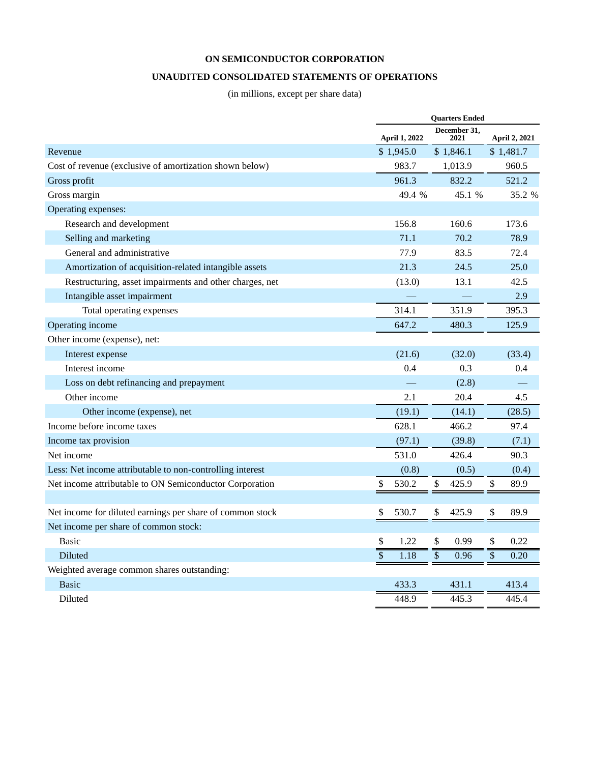# **UNAUDITED CONSOLIDATED STATEMENTS OF OPERATIONS**

(in millions, except per share data)

|                                                           | <b>Ouarters Ended</b>   |                      |                      |  |  |  |
|-----------------------------------------------------------|-------------------------|----------------------|----------------------|--|--|--|
|                                                           | <b>April 1, 2022</b>    | December 31,<br>2021 | <b>April 2, 2021</b> |  |  |  |
| Revenue                                                   | \$1,945.0               | \$1,846.1            | \$1,481.7            |  |  |  |
| Cost of revenue (exclusive of amortization shown below)   | 983.7                   | 1,013.9              | 960.5                |  |  |  |
| Gross profit                                              | 961.3                   | 832.2                | 521.2                |  |  |  |
| Gross margin                                              | 49.4 %                  | 45.1 %               | 35.2 %               |  |  |  |
| Operating expenses:                                       |                         |                      |                      |  |  |  |
| Research and development                                  | 156.8                   | 160.6                | 173.6                |  |  |  |
| Selling and marketing                                     | 71.1                    | 70.2                 | 78.9                 |  |  |  |
| General and administrative                                | 77.9                    | 83.5                 | 72.4                 |  |  |  |
| Amortization of acquisition-related intangible assets     | 21.3                    | 24.5                 | 25.0                 |  |  |  |
| Restructuring, asset impairments and other charges, net   | (13.0)                  | 13.1                 | 42.5                 |  |  |  |
| Intangible asset impairment                               |                         |                      | 2.9                  |  |  |  |
| Total operating expenses                                  | 314.1                   | 351.9                | 395.3                |  |  |  |
| Operating income                                          | 647.2                   | 480.3                | 125.9                |  |  |  |
| Other income (expense), net:                              |                         |                      |                      |  |  |  |
| Interest expense                                          | (21.6)                  | (32.0)               | (33.4)               |  |  |  |
| Interest income                                           | 0.4                     | 0.3                  | 0.4                  |  |  |  |
| Loss on debt refinancing and prepayment                   |                         | (2.8)                |                      |  |  |  |
| Other income                                              | 2.1                     | 20.4                 | 4.5                  |  |  |  |
| Other income (expense), net                               | (19.1)                  | (14.1)               | (28.5)               |  |  |  |
| Income before income taxes                                | 628.1                   | 466.2                | 97.4                 |  |  |  |
| Income tax provision                                      | (97.1)                  | (39.8)               | (7.1)                |  |  |  |
| Net income                                                | 531.0                   | 426.4                | 90.3                 |  |  |  |
| Less: Net income attributable to non-controlling interest | (0.8)                   | (0.5)                | (0.4)                |  |  |  |
| Net income attributable to ON Semiconductor Corporation   | $\mathcal{S}$<br>530.2  | \$<br>425.9          | \$<br>89.9           |  |  |  |
|                                                           |                         |                      |                      |  |  |  |
| Net income for diluted earnings per share of common stock | \$<br>530.7             | \$<br>425.9          | \$<br>89.9           |  |  |  |
| Net income per share of common stock:                     |                         |                      |                      |  |  |  |
| <b>Basic</b>                                              | \$<br>1.22              | \$<br>0.99           | \$<br>0.22           |  |  |  |
| Diluted                                                   | $\overline{\$}$<br>1.18 | \$<br>0.96           | \$<br>0.20           |  |  |  |
| Weighted average common shares outstanding:               |                         |                      |                      |  |  |  |
| <b>Basic</b>                                              | 433.3                   | 431.1                | 413.4                |  |  |  |
| Diluted                                                   | 448.9                   | 445.3                | 445.4                |  |  |  |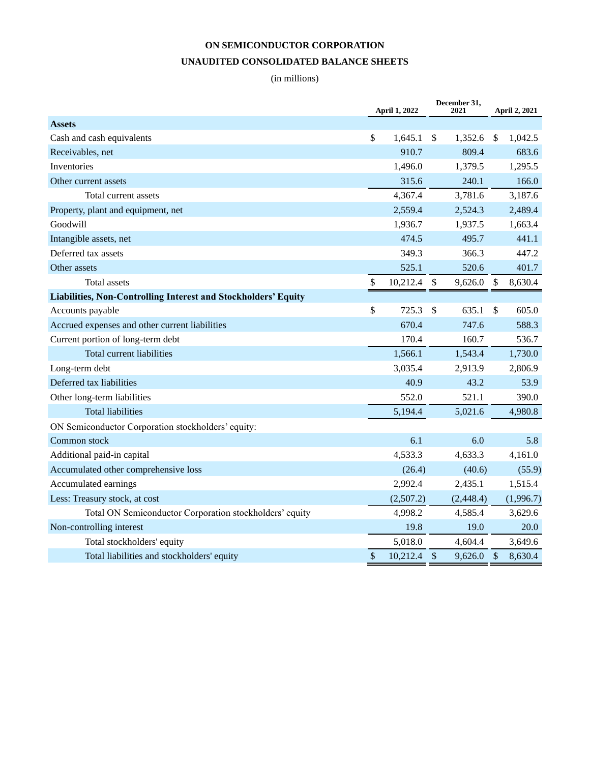# **ON SEMICONDUCTOR CORPORATION UNAUDITED CONSOLIDATED BALANCE SHEETS**

# (in millions)

|                                                                |                           | <b>April 1, 2022</b> | December 31,<br>2021 |           | <b>April 2, 2021</b> |           |  |
|----------------------------------------------------------------|---------------------------|----------------------|----------------------|-----------|----------------------|-----------|--|
| <b>Assets</b>                                                  |                           |                      |                      |           |                      |           |  |
| Cash and cash equivalents                                      | \$                        | 1,645.1              | \$                   | 1,352.6   | S.                   | 1,042.5   |  |
| Receivables, net                                               |                           | 910.7                |                      | 809.4     |                      | 683.6     |  |
| Inventories                                                    |                           | 1,496.0              |                      | 1,379.5   |                      | 1,295.5   |  |
| Other current assets                                           |                           | 315.6                |                      | 240.1     |                      | 166.0     |  |
| Total current assets                                           |                           | 4,367.4              |                      | 3,781.6   |                      | 3,187.6   |  |
| Property, plant and equipment, net                             |                           | 2,559.4              |                      | 2,524.3   |                      | 2,489.4   |  |
| Goodwill                                                       |                           | 1,936.7              |                      | 1,937.5   |                      | 1,663.4   |  |
| Intangible assets, net                                         |                           | 474.5                |                      | 495.7     |                      | 441.1     |  |
| Deferred tax assets                                            |                           | 349.3                |                      | 366.3     |                      | 447.2     |  |
| Other assets                                                   |                           | 525.1                |                      | 520.6     |                      | 401.7     |  |
| <b>Total assets</b>                                            | \$                        | 10,212.4             | \$                   | 9,626.0   | $\mathcal{S}$        | 8,630.4   |  |
| Liabilities, Non-Controlling Interest and Stockholders' Equity |                           |                      |                      |           |                      |           |  |
| Accounts payable                                               | \$                        | 725.3                | \$                   | 635.1     | $\mathbb{S}$         | 605.0     |  |
| Accrued expenses and other current liabilities                 |                           | 670.4                |                      | 747.6     |                      | 588.3     |  |
| Current portion of long-term debt                              |                           | 170.4                |                      | 160.7     |                      | 536.7     |  |
| <b>Total current liabilities</b>                               |                           | 1,566.1              |                      | 1,543.4   |                      | 1,730.0   |  |
| Long-term debt                                                 |                           | 3,035.4              |                      | 2,913.9   |                      | 2,806.9   |  |
| Deferred tax liabilities                                       |                           | 40.9                 |                      | 43.2      |                      | 53.9      |  |
| Other long-term liabilities                                    |                           | 552.0                |                      | 521.1     |                      | 390.0     |  |
| <b>Total liabilities</b>                                       |                           | 5,194.4              |                      | 5,021.6   |                      | 4,980.8   |  |
| ON Semiconductor Corporation stockholders' equity:             |                           |                      |                      |           |                      |           |  |
| Common stock                                                   |                           | 6.1                  |                      | 6.0       |                      | 5.8       |  |
| Additional paid-in capital                                     |                           | 4,533.3              |                      | 4,633.3   |                      | 4,161.0   |  |
| Accumulated other comprehensive loss                           |                           | (26.4)               |                      | (40.6)    |                      | (55.9)    |  |
| Accumulated earnings                                           |                           | 2,992.4              |                      | 2,435.1   |                      | 1,515.4   |  |
| Less: Treasury stock, at cost                                  |                           | (2,507.2)            |                      | (2,448.4) |                      | (1,996.7) |  |
| Total ON Semiconductor Corporation stockholders' equity        |                           | 4,998.2              |                      | 4,585.4   |                      | 3,629.6   |  |
| Non-controlling interest                                       |                           | 19.8                 |                      | 19.0      |                      | 20.0      |  |
| Total stockholders' equity                                     |                           | 5,018.0              |                      | 4,604.4   |                      | 3,649.6   |  |
| Total liabilities and stockholders' equity                     | $\boldsymbol{\mathsf{S}}$ | 10,212.4             | $\sqrt$              | 9,626.0   | \$                   | 8,630.4   |  |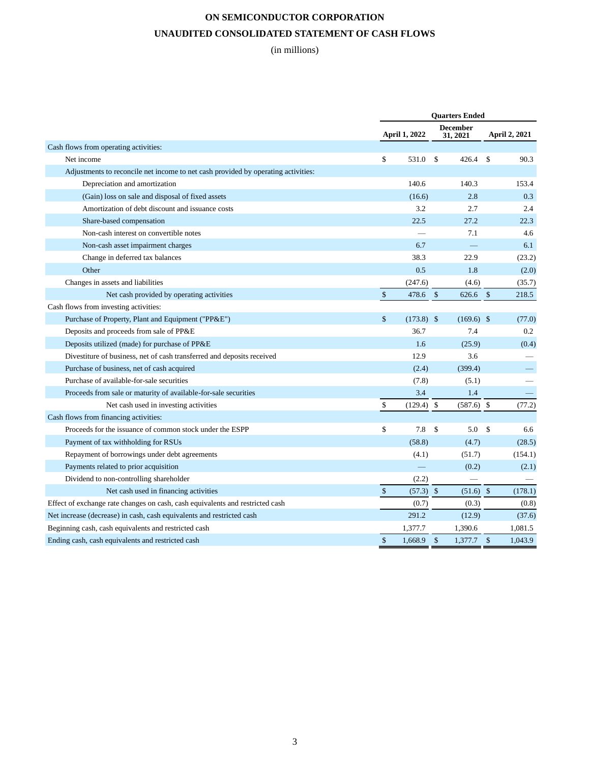# **ON SEMICONDUCTOR CORPORATION UNAUDITED CONSOLIDATED STATEMENT OF CASH FLOWS**

(in millions)

|                                                                                   | <b>Quarters Ended</b> |               |               |                             |               |               |
|-----------------------------------------------------------------------------------|-----------------------|---------------|---------------|-----------------------------|---------------|---------------|
|                                                                                   |                       | April 1, 2022 |               | <b>December</b><br>31, 2021 |               | April 2, 2021 |
| Cash flows from operating activities:                                             |                       |               |               |                             |               |               |
| Net income                                                                        | \$                    | 531.0         | $\mathbf{\$}$ | 426.4                       | $\mathbf S$   | 90.3          |
| Adjustments to reconcile net income to net cash provided by operating activities: |                       |               |               |                             |               |               |
| Depreciation and amortization                                                     |                       | 140.6         |               | 140.3                       |               | 153.4         |
| (Gain) loss on sale and disposal of fixed assets                                  |                       | (16.6)        |               | 2.8                         |               | 0.3           |
| Amortization of debt discount and issuance costs                                  |                       | 3.2           |               | 2.7                         |               | 2.4           |
| Share-based compensation                                                          |                       | 22.5          |               | 27.2                        |               | 22.3          |
| Non-cash interest on convertible notes                                            |                       |               |               | 7.1                         |               | 4.6           |
| Non-cash asset impairment charges                                                 |                       | 6.7           |               |                             |               | 6.1           |
| Change in deferred tax balances                                                   |                       | 38.3          |               | 22.9                        |               | (23.2)        |
| Other                                                                             |                       | 0.5           |               | 1.8                         |               | (2.0)         |
| Changes in assets and liabilities                                                 |                       | (247.6)       |               | (4.6)                       |               | (35.7)        |
| Net cash provided by operating activities                                         | $\mathcal{S}$         | 478.6         | $\mathcal{S}$ | 626.6                       | \$            | 218.5         |
| Cash flows from investing activities:                                             |                       |               |               |                             |               |               |
| Purchase of Property, Plant and Equipment ("PP&E")                                | \$                    | $(173.8)$ \$  |               | $(169.6)$ \$                |               | (77.0)        |
| Deposits and proceeds from sale of PP&E                                           |                       | 36.7          |               | 7.4                         |               | 0.2           |
| Deposits utilized (made) for purchase of PP&E                                     |                       | 1.6           |               | (25.9)                      |               | (0.4)         |
| Divestiture of business, net of cash transferred and deposits received            |                       | 12.9          |               | 3.6                         |               |               |
| Purchase of business, net of cash acquired                                        |                       | (2.4)         |               | (399.4)                     |               |               |
| Purchase of available-for-sale securities                                         |                       | (7.8)         |               | (5.1)                       |               |               |
| Proceeds from sale or maturity of available-for-sale securities                   |                       | 3.4           |               | 1.4                         |               |               |
| Net cash used in investing activities                                             | \$                    | (129.4)       | $\mathbb{S}$  | $(587.6)$ \$                |               | (77.2)        |
| Cash flows from financing activities:                                             |                       |               |               |                             |               |               |
| Proceeds for the issuance of common stock under the ESPP                          | \$                    | 7.8           | $\mathbf{\$}$ | 5.0                         | $\mathbf S$   | 6.6           |
| Payment of tax withholding for RSUs                                               |                       | (58.8)        |               | (4.7)                       |               | (28.5)        |
| Repayment of borrowings under debt agreements                                     |                       | (4.1)         |               | (51.7)                      |               | (154.1)       |
| Payments related to prior acquisition                                             |                       |               |               | (0.2)                       |               | (2.1)         |
| Dividend to non-controlling shareholder                                           |                       | (2.2)         |               |                             |               |               |
| Net cash used in financing activities                                             | $\mathcal{S}$         | $(57.3)$ \$   |               | (51.6)                      | $\sqrt[6]{3}$ | (178.1)       |
| Effect of exchange rate changes on cash, cash equivalents and restricted cash     |                       | (0.7)         |               | (0.3)                       |               | (0.8)         |
| Net increase (decrease) in cash, cash equivalents and restricted cash             |                       | 291.2         |               | (12.9)                      |               | (37.6)        |
| Beginning cash, cash equivalents and restricted cash                              |                       | 1,377.7       |               | 1,390.6                     |               | 1,081.5       |
| Ending cash, cash equivalents and restricted cash                                 | \$                    | 1.668.9       | $\mathcal{S}$ | $1,377.7$ \$                |               | 1.043.9       |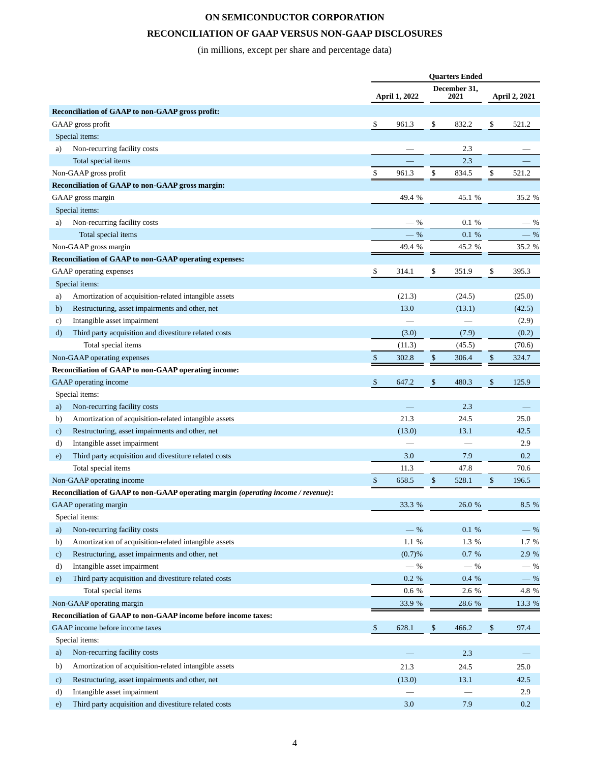# **RECONCILIATION OF GAAP VERSUS NON-GAAP DISCLOSURES**

(in millions, except per share and percentage data)

| December 31,<br>April 1, 2022<br>2021<br>Reconciliation of GAAP to non-GAAP gross profit:<br>\$<br>\$<br>832.2<br>\$<br>521.2<br>GAAP gross profit<br>961.3<br>Special items:<br>Non-recurring facility costs<br>2.3<br>a)<br>Total special items<br>2.3<br>\$<br>\$<br>\$<br>Non-GAAP gross profit<br>834.5<br>521.2<br>961.3<br>Reconciliation of GAAP to non-GAAP gross margin:<br>GAAP gross margin<br>45.1 %<br>49.4 %<br>Special items:<br>Non-recurring facility costs<br>0.1 %<br>- %<br>a)<br>$-9/6$<br>Total special items<br>0.1 %<br>Non-GAAP gross margin<br>49.4 %<br>45.2 %<br>Reconciliation of GAAP to non-GAAP operating expenses:<br>\$<br>\$<br>\$<br>GAAP operating expenses<br>314.1<br>351.9<br>395.3<br>Special items:<br>Amortization of acquisition-related intangible assets<br>(21.3)<br>(24.5)<br>a)<br>Restructuring, asset impairments and other, net<br>13.0<br>(13.1)<br>b)<br>Intangible asset impairment<br>c)<br>Third party acquisition and divestiture related costs<br>(7.9)<br>(3.0)<br>d)<br>Total special items<br>(45.5)<br>(11.3)<br>(70.6)<br>Non-GAAP operating expenses<br>\$<br>\$<br>302.8<br>306.4<br>\$<br>324.7<br>Reconciliation of GAAP to non-GAAP operating income:<br>\$<br>GAAP operating income<br>\$<br>647.2<br>\$<br>480.3<br>125.9<br>Special items:<br>Non-recurring facility costs<br>2.3<br>a)<br>21.3<br>Amortization of acquisition-related intangible assets<br>24.5<br>25.0<br>b)<br>Restructuring, asset impairments and other, net<br>(13.0)<br>13.1<br>42.5<br>$\mathbf{c})$<br>Intangible asset impairment<br>2.9<br>d)<br>Third party acquisition and divestiture related costs<br>3.0<br>7.9<br>0.2<br>e)<br>Total special items<br>47.8<br>70.6<br>11.3<br>$\$$<br>$\$$<br>Non-GAAP operating income<br>658.5<br>528.1<br>\$<br>196.5<br>Reconciliation of GAAP to non-GAAP operating margin (operating income / revenue):<br>GAAP operating margin<br>33.3 %<br>26.0 %<br>Special items:<br>Non-recurring facility costs<br>$-$ %<br>$0.1\,$ %<br>a)<br>Amortization of acquisition-related intangible assets<br>$1.3\,$ %<br>1.1 %<br>b)<br>Restructuring, asset impairments and other, net<br>0.7 %<br>(0.7)%<br>$\mathbf{c})$<br>Intangible asset impairment<br>$-$ %<br>$-$ %<br>d)<br>Third party acquisition and divestiture related costs<br>$0.2\,$ %<br>0.4 %<br>e)<br>Total special items<br>$0.6\,$ %<br>2.6 %<br>Non-GAAP operating margin<br>33.9 %<br>28.6 %<br>Reconciliation of GAAP to non-GAAP income before income taxes: |  | <b>Quarters Ended</b> |  |               |  |  |        |
|----------------------------------------------------------------------------------------------------------------------------------------------------------------------------------------------------------------------------------------------------------------------------------------------------------------------------------------------------------------------------------------------------------------------------------------------------------------------------------------------------------------------------------------------------------------------------------------------------------------------------------------------------------------------------------------------------------------------------------------------------------------------------------------------------------------------------------------------------------------------------------------------------------------------------------------------------------------------------------------------------------------------------------------------------------------------------------------------------------------------------------------------------------------------------------------------------------------------------------------------------------------------------------------------------------------------------------------------------------------------------------------------------------------------------------------------------------------------------------------------------------------------------------------------------------------------------------------------------------------------------------------------------------------------------------------------------------------------------------------------------------------------------------------------------------------------------------------------------------------------------------------------------------------------------------------------------------------------------------------------------------------------------------------------------------------------------------------------------------------------------------------------------------------------------------------------------------------------------------------------------------------------------------------------------------------------------------------------------------------------------------------------------------------------------------------------------------------------------------------------------------------------------|--|-----------------------|--|---------------|--|--|--------|
|                                                                                                                                                                                                                                                                                                                                                                                                                                                                                                                                                                                                                                                                                                                                                                                                                                                                                                                                                                                                                                                                                                                                                                                                                                                                                                                                                                                                                                                                                                                                                                                                                                                                                                                                                                                                                                                                                                                                                                                                                                                                                                                                                                                                                                                                                                                                                                                                                                                                                                                            |  |                       |  | April 2, 2021 |  |  |        |
|                                                                                                                                                                                                                                                                                                                                                                                                                                                                                                                                                                                                                                                                                                                                                                                                                                                                                                                                                                                                                                                                                                                                                                                                                                                                                                                                                                                                                                                                                                                                                                                                                                                                                                                                                                                                                                                                                                                                                                                                                                                                                                                                                                                                                                                                                                                                                                                                                                                                                                                            |  |                       |  |               |  |  |        |
|                                                                                                                                                                                                                                                                                                                                                                                                                                                                                                                                                                                                                                                                                                                                                                                                                                                                                                                                                                                                                                                                                                                                                                                                                                                                                                                                                                                                                                                                                                                                                                                                                                                                                                                                                                                                                                                                                                                                                                                                                                                                                                                                                                                                                                                                                                                                                                                                                                                                                                                            |  |                       |  |               |  |  |        |
|                                                                                                                                                                                                                                                                                                                                                                                                                                                                                                                                                                                                                                                                                                                                                                                                                                                                                                                                                                                                                                                                                                                                                                                                                                                                                                                                                                                                                                                                                                                                                                                                                                                                                                                                                                                                                                                                                                                                                                                                                                                                                                                                                                                                                                                                                                                                                                                                                                                                                                                            |  |                       |  |               |  |  |        |
|                                                                                                                                                                                                                                                                                                                                                                                                                                                                                                                                                                                                                                                                                                                                                                                                                                                                                                                                                                                                                                                                                                                                                                                                                                                                                                                                                                                                                                                                                                                                                                                                                                                                                                                                                                                                                                                                                                                                                                                                                                                                                                                                                                                                                                                                                                                                                                                                                                                                                                                            |  |                       |  |               |  |  |        |
|                                                                                                                                                                                                                                                                                                                                                                                                                                                                                                                                                                                                                                                                                                                                                                                                                                                                                                                                                                                                                                                                                                                                                                                                                                                                                                                                                                                                                                                                                                                                                                                                                                                                                                                                                                                                                                                                                                                                                                                                                                                                                                                                                                                                                                                                                                                                                                                                                                                                                                                            |  |                       |  |               |  |  |        |
|                                                                                                                                                                                                                                                                                                                                                                                                                                                                                                                                                                                                                                                                                                                                                                                                                                                                                                                                                                                                                                                                                                                                                                                                                                                                                                                                                                                                                                                                                                                                                                                                                                                                                                                                                                                                                                                                                                                                                                                                                                                                                                                                                                                                                                                                                                                                                                                                                                                                                                                            |  |                       |  |               |  |  |        |
|                                                                                                                                                                                                                                                                                                                                                                                                                                                                                                                                                                                                                                                                                                                                                                                                                                                                                                                                                                                                                                                                                                                                                                                                                                                                                                                                                                                                                                                                                                                                                                                                                                                                                                                                                                                                                                                                                                                                                                                                                                                                                                                                                                                                                                                                                                                                                                                                                                                                                                                            |  |                       |  |               |  |  |        |
|                                                                                                                                                                                                                                                                                                                                                                                                                                                                                                                                                                                                                                                                                                                                                                                                                                                                                                                                                                                                                                                                                                                                                                                                                                                                                                                                                                                                                                                                                                                                                                                                                                                                                                                                                                                                                                                                                                                                                                                                                                                                                                                                                                                                                                                                                                                                                                                                                                                                                                                            |  |                       |  |               |  |  | 35.2 % |
|                                                                                                                                                                                                                                                                                                                                                                                                                                                                                                                                                                                                                                                                                                                                                                                                                                                                                                                                                                                                                                                                                                                                                                                                                                                                                                                                                                                                                                                                                                                                                                                                                                                                                                                                                                                                                                                                                                                                                                                                                                                                                                                                                                                                                                                                                                                                                                                                                                                                                                                            |  |                       |  |               |  |  |        |
|                                                                                                                                                                                                                                                                                                                                                                                                                                                                                                                                                                                                                                                                                                                                                                                                                                                                                                                                                                                                                                                                                                                                                                                                                                                                                                                                                                                                                                                                                                                                                                                                                                                                                                                                                                                                                                                                                                                                                                                                                                                                                                                                                                                                                                                                                                                                                                                                                                                                                                                            |  |                       |  |               |  |  | $-$ %  |
|                                                                                                                                                                                                                                                                                                                                                                                                                                                                                                                                                                                                                                                                                                                                                                                                                                                                                                                                                                                                                                                                                                                                                                                                                                                                                                                                                                                                                                                                                                                                                                                                                                                                                                                                                                                                                                                                                                                                                                                                                                                                                                                                                                                                                                                                                                                                                                                                                                                                                                                            |  |                       |  |               |  |  | $-$ %  |
|                                                                                                                                                                                                                                                                                                                                                                                                                                                                                                                                                                                                                                                                                                                                                                                                                                                                                                                                                                                                                                                                                                                                                                                                                                                                                                                                                                                                                                                                                                                                                                                                                                                                                                                                                                                                                                                                                                                                                                                                                                                                                                                                                                                                                                                                                                                                                                                                                                                                                                                            |  |                       |  |               |  |  | 35.2 % |
|                                                                                                                                                                                                                                                                                                                                                                                                                                                                                                                                                                                                                                                                                                                                                                                                                                                                                                                                                                                                                                                                                                                                                                                                                                                                                                                                                                                                                                                                                                                                                                                                                                                                                                                                                                                                                                                                                                                                                                                                                                                                                                                                                                                                                                                                                                                                                                                                                                                                                                                            |  |                       |  |               |  |  |        |
|                                                                                                                                                                                                                                                                                                                                                                                                                                                                                                                                                                                                                                                                                                                                                                                                                                                                                                                                                                                                                                                                                                                                                                                                                                                                                                                                                                                                                                                                                                                                                                                                                                                                                                                                                                                                                                                                                                                                                                                                                                                                                                                                                                                                                                                                                                                                                                                                                                                                                                                            |  |                       |  |               |  |  |        |
|                                                                                                                                                                                                                                                                                                                                                                                                                                                                                                                                                                                                                                                                                                                                                                                                                                                                                                                                                                                                                                                                                                                                                                                                                                                                                                                                                                                                                                                                                                                                                                                                                                                                                                                                                                                                                                                                                                                                                                                                                                                                                                                                                                                                                                                                                                                                                                                                                                                                                                                            |  |                       |  |               |  |  |        |
|                                                                                                                                                                                                                                                                                                                                                                                                                                                                                                                                                                                                                                                                                                                                                                                                                                                                                                                                                                                                                                                                                                                                                                                                                                                                                                                                                                                                                                                                                                                                                                                                                                                                                                                                                                                                                                                                                                                                                                                                                                                                                                                                                                                                                                                                                                                                                                                                                                                                                                                            |  |                       |  |               |  |  | (25.0) |
|                                                                                                                                                                                                                                                                                                                                                                                                                                                                                                                                                                                                                                                                                                                                                                                                                                                                                                                                                                                                                                                                                                                                                                                                                                                                                                                                                                                                                                                                                                                                                                                                                                                                                                                                                                                                                                                                                                                                                                                                                                                                                                                                                                                                                                                                                                                                                                                                                                                                                                                            |  |                       |  |               |  |  | (42.5) |
|                                                                                                                                                                                                                                                                                                                                                                                                                                                                                                                                                                                                                                                                                                                                                                                                                                                                                                                                                                                                                                                                                                                                                                                                                                                                                                                                                                                                                                                                                                                                                                                                                                                                                                                                                                                                                                                                                                                                                                                                                                                                                                                                                                                                                                                                                                                                                                                                                                                                                                                            |  |                       |  |               |  |  | (2.9)  |
|                                                                                                                                                                                                                                                                                                                                                                                                                                                                                                                                                                                                                                                                                                                                                                                                                                                                                                                                                                                                                                                                                                                                                                                                                                                                                                                                                                                                                                                                                                                                                                                                                                                                                                                                                                                                                                                                                                                                                                                                                                                                                                                                                                                                                                                                                                                                                                                                                                                                                                                            |  |                       |  |               |  |  | (0.2)  |
|                                                                                                                                                                                                                                                                                                                                                                                                                                                                                                                                                                                                                                                                                                                                                                                                                                                                                                                                                                                                                                                                                                                                                                                                                                                                                                                                                                                                                                                                                                                                                                                                                                                                                                                                                                                                                                                                                                                                                                                                                                                                                                                                                                                                                                                                                                                                                                                                                                                                                                                            |  |                       |  |               |  |  |        |
|                                                                                                                                                                                                                                                                                                                                                                                                                                                                                                                                                                                                                                                                                                                                                                                                                                                                                                                                                                                                                                                                                                                                                                                                                                                                                                                                                                                                                                                                                                                                                                                                                                                                                                                                                                                                                                                                                                                                                                                                                                                                                                                                                                                                                                                                                                                                                                                                                                                                                                                            |  |                       |  |               |  |  |        |
|                                                                                                                                                                                                                                                                                                                                                                                                                                                                                                                                                                                                                                                                                                                                                                                                                                                                                                                                                                                                                                                                                                                                                                                                                                                                                                                                                                                                                                                                                                                                                                                                                                                                                                                                                                                                                                                                                                                                                                                                                                                                                                                                                                                                                                                                                                                                                                                                                                                                                                                            |  |                       |  |               |  |  |        |
|                                                                                                                                                                                                                                                                                                                                                                                                                                                                                                                                                                                                                                                                                                                                                                                                                                                                                                                                                                                                                                                                                                                                                                                                                                                                                                                                                                                                                                                                                                                                                                                                                                                                                                                                                                                                                                                                                                                                                                                                                                                                                                                                                                                                                                                                                                                                                                                                                                                                                                                            |  |                       |  |               |  |  |        |
|                                                                                                                                                                                                                                                                                                                                                                                                                                                                                                                                                                                                                                                                                                                                                                                                                                                                                                                                                                                                                                                                                                                                                                                                                                                                                                                                                                                                                                                                                                                                                                                                                                                                                                                                                                                                                                                                                                                                                                                                                                                                                                                                                                                                                                                                                                                                                                                                                                                                                                                            |  |                       |  |               |  |  |        |
|                                                                                                                                                                                                                                                                                                                                                                                                                                                                                                                                                                                                                                                                                                                                                                                                                                                                                                                                                                                                                                                                                                                                                                                                                                                                                                                                                                                                                                                                                                                                                                                                                                                                                                                                                                                                                                                                                                                                                                                                                                                                                                                                                                                                                                                                                                                                                                                                                                                                                                                            |  |                       |  |               |  |  |        |
|                                                                                                                                                                                                                                                                                                                                                                                                                                                                                                                                                                                                                                                                                                                                                                                                                                                                                                                                                                                                                                                                                                                                                                                                                                                                                                                                                                                                                                                                                                                                                                                                                                                                                                                                                                                                                                                                                                                                                                                                                                                                                                                                                                                                                                                                                                                                                                                                                                                                                                                            |  |                       |  |               |  |  |        |
|                                                                                                                                                                                                                                                                                                                                                                                                                                                                                                                                                                                                                                                                                                                                                                                                                                                                                                                                                                                                                                                                                                                                                                                                                                                                                                                                                                                                                                                                                                                                                                                                                                                                                                                                                                                                                                                                                                                                                                                                                                                                                                                                                                                                                                                                                                                                                                                                                                                                                                                            |  |                       |  |               |  |  |        |
|                                                                                                                                                                                                                                                                                                                                                                                                                                                                                                                                                                                                                                                                                                                                                                                                                                                                                                                                                                                                                                                                                                                                                                                                                                                                                                                                                                                                                                                                                                                                                                                                                                                                                                                                                                                                                                                                                                                                                                                                                                                                                                                                                                                                                                                                                                                                                                                                                                                                                                                            |  |                       |  |               |  |  |        |
|                                                                                                                                                                                                                                                                                                                                                                                                                                                                                                                                                                                                                                                                                                                                                                                                                                                                                                                                                                                                                                                                                                                                                                                                                                                                                                                                                                                                                                                                                                                                                                                                                                                                                                                                                                                                                                                                                                                                                                                                                                                                                                                                                                                                                                                                                                                                                                                                                                                                                                                            |  |                       |  |               |  |  |        |
|                                                                                                                                                                                                                                                                                                                                                                                                                                                                                                                                                                                                                                                                                                                                                                                                                                                                                                                                                                                                                                                                                                                                                                                                                                                                                                                                                                                                                                                                                                                                                                                                                                                                                                                                                                                                                                                                                                                                                                                                                                                                                                                                                                                                                                                                                                                                                                                                                                                                                                                            |  |                       |  |               |  |  |        |
|                                                                                                                                                                                                                                                                                                                                                                                                                                                                                                                                                                                                                                                                                                                                                                                                                                                                                                                                                                                                                                                                                                                                                                                                                                                                                                                                                                                                                                                                                                                                                                                                                                                                                                                                                                                                                                                                                                                                                                                                                                                                                                                                                                                                                                                                                                                                                                                                                                                                                                                            |  |                       |  |               |  |  |        |
|                                                                                                                                                                                                                                                                                                                                                                                                                                                                                                                                                                                                                                                                                                                                                                                                                                                                                                                                                                                                                                                                                                                                                                                                                                                                                                                                                                                                                                                                                                                                                                                                                                                                                                                                                                                                                                                                                                                                                                                                                                                                                                                                                                                                                                                                                                                                                                                                                                                                                                                            |  |                       |  |               |  |  | 8.5 %  |
|                                                                                                                                                                                                                                                                                                                                                                                                                                                                                                                                                                                                                                                                                                                                                                                                                                                                                                                                                                                                                                                                                                                                                                                                                                                                                                                                                                                                                                                                                                                                                                                                                                                                                                                                                                                                                                                                                                                                                                                                                                                                                                                                                                                                                                                                                                                                                                                                                                                                                                                            |  |                       |  |               |  |  |        |
|                                                                                                                                                                                                                                                                                                                                                                                                                                                                                                                                                                                                                                                                                                                                                                                                                                                                                                                                                                                                                                                                                                                                                                                                                                                                                                                                                                                                                                                                                                                                                                                                                                                                                                                                                                                                                                                                                                                                                                                                                                                                                                                                                                                                                                                                                                                                                                                                                                                                                                                            |  |                       |  |               |  |  | $-$ %  |
|                                                                                                                                                                                                                                                                                                                                                                                                                                                                                                                                                                                                                                                                                                                                                                                                                                                                                                                                                                                                                                                                                                                                                                                                                                                                                                                                                                                                                                                                                                                                                                                                                                                                                                                                                                                                                                                                                                                                                                                                                                                                                                                                                                                                                                                                                                                                                                                                                                                                                                                            |  |                       |  |               |  |  | 1.7 %  |
|                                                                                                                                                                                                                                                                                                                                                                                                                                                                                                                                                                                                                                                                                                                                                                                                                                                                                                                                                                                                                                                                                                                                                                                                                                                                                                                                                                                                                                                                                                                                                                                                                                                                                                                                                                                                                                                                                                                                                                                                                                                                                                                                                                                                                                                                                                                                                                                                                                                                                                                            |  |                       |  |               |  |  | 2.9 %  |
|                                                                                                                                                                                                                                                                                                                                                                                                                                                                                                                                                                                                                                                                                                                                                                                                                                                                                                                                                                                                                                                                                                                                                                                                                                                                                                                                                                                                                                                                                                                                                                                                                                                                                                                                                                                                                                                                                                                                                                                                                                                                                                                                                                                                                                                                                                                                                                                                                                                                                                                            |  |                       |  |               |  |  | $-$ %  |
|                                                                                                                                                                                                                                                                                                                                                                                                                                                                                                                                                                                                                                                                                                                                                                                                                                                                                                                                                                                                                                                                                                                                                                                                                                                                                                                                                                                                                                                                                                                                                                                                                                                                                                                                                                                                                                                                                                                                                                                                                                                                                                                                                                                                                                                                                                                                                                                                                                                                                                                            |  |                       |  |               |  |  | $-$ %  |
|                                                                                                                                                                                                                                                                                                                                                                                                                                                                                                                                                                                                                                                                                                                                                                                                                                                                                                                                                                                                                                                                                                                                                                                                                                                                                                                                                                                                                                                                                                                                                                                                                                                                                                                                                                                                                                                                                                                                                                                                                                                                                                                                                                                                                                                                                                                                                                                                                                                                                                                            |  |                       |  |               |  |  | 4.8 %  |
|                                                                                                                                                                                                                                                                                                                                                                                                                                                                                                                                                                                                                                                                                                                                                                                                                                                                                                                                                                                                                                                                                                                                                                                                                                                                                                                                                                                                                                                                                                                                                                                                                                                                                                                                                                                                                                                                                                                                                                                                                                                                                                                                                                                                                                                                                                                                                                                                                                                                                                                            |  |                       |  |               |  |  | 13.3 % |
|                                                                                                                                                                                                                                                                                                                                                                                                                                                                                                                                                                                                                                                                                                                                                                                                                                                                                                                                                                                                                                                                                                                                                                                                                                                                                                                                                                                                                                                                                                                                                                                                                                                                                                                                                                                                                                                                                                                                                                                                                                                                                                                                                                                                                                                                                                                                                                                                                                                                                                                            |  |                       |  |               |  |  |        |
| $\$$<br>GAAP income before income taxes<br>\$<br>628.1<br>\$<br>466.2                                                                                                                                                                                                                                                                                                                                                                                                                                                                                                                                                                                                                                                                                                                                                                                                                                                                                                                                                                                                                                                                                                                                                                                                                                                                                                                                                                                                                                                                                                                                                                                                                                                                                                                                                                                                                                                                                                                                                                                                                                                                                                                                                                                                                                                                                                                                                                                                                                                      |  |                       |  |               |  |  | 97.4   |
| Special items:                                                                                                                                                                                                                                                                                                                                                                                                                                                                                                                                                                                                                                                                                                                                                                                                                                                                                                                                                                                                                                                                                                                                                                                                                                                                                                                                                                                                                                                                                                                                                                                                                                                                                                                                                                                                                                                                                                                                                                                                                                                                                                                                                                                                                                                                                                                                                                                                                                                                                                             |  |                       |  |               |  |  |        |
| Non-recurring facility costs<br>a)<br>2.3                                                                                                                                                                                                                                                                                                                                                                                                                                                                                                                                                                                                                                                                                                                                                                                                                                                                                                                                                                                                                                                                                                                                                                                                                                                                                                                                                                                                                                                                                                                                                                                                                                                                                                                                                                                                                                                                                                                                                                                                                                                                                                                                                                                                                                                                                                                                                                                                                                                                                  |  |                       |  |               |  |  |        |
| Amortization of acquisition-related intangible assets<br>b)<br>21.3<br>24.5                                                                                                                                                                                                                                                                                                                                                                                                                                                                                                                                                                                                                                                                                                                                                                                                                                                                                                                                                                                                                                                                                                                                                                                                                                                                                                                                                                                                                                                                                                                                                                                                                                                                                                                                                                                                                                                                                                                                                                                                                                                                                                                                                                                                                                                                                                                                                                                                                                                |  |                       |  |               |  |  | 25.0   |
| Restructuring, asset impairments and other, net<br>13.1<br>(13.0)<br>$\mathbf{c})$                                                                                                                                                                                                                                                                                                                                                                                                                                                                                                                                                                                                                                                                                                                                                                                                                                                                                                                                                                                                                                                                                                                                                                                                                                                                                                                                                                                                                                                                                                                                                                                                                                                                                                                                                                                                                                                                                                                                                                                                                                                                                                                                                                                                                                                                                                                                                                                                                                         |  |                       |  |               |  |  | 42.5   |
| Intangible asset impairment<br>d)                                                                                                                                                                                                                                                                                                                                                                                                                                                                                                                                                                                                                                                                                                                                                                                                                                                                                                                                                                                                                                                                                                                                                                                                                                                                                                                                                                                                                                                                                                                                                                                                                                                                                                                                                                                                                                                                                                                                                                                                                                                                                                                                                                                                                                                                                                                                                                                                                                                                                          |  |                       |  |               |  |  | 2.9    |
| Third party acquisition and divestiture related costs<br>3.0<br>7.9<br>e)                                                                                                                                                                                                                                                                                                                                                                                                                                                                                                                                                                                                                                                                                                                                                                                                                                                                                                                                                                                                                                                                                                                                                                                                                                                                                                                                                                                                                                                                                                                                                                                                                                                                                                                                                                                                                                                                                                                                                                                                                                                                                                                                                                                                                                                                                                                                                                                                                                                  |  |                       |  |               |  |  | 0.2    |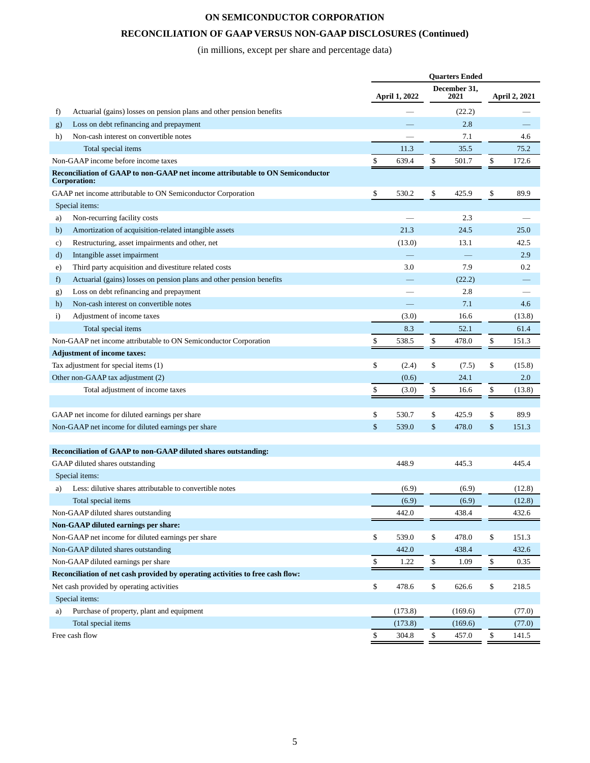# **RECONCILIATION OF GAAP VERSUS NON-GAAP DISCLOSURES (Continued)**

(in millions, except per share and percentage data)

|              |                                                                                                | <b>Quarters Ended</b> |               |    |                      |    |               |
|--------------|------------------------------------------------------------------------------------------------|-----------------------|---------------|----|----------------------|----|---------------|
|              |                                                                                                |                       | April 1, 2022 |    | December 31,<br>2021 |    | April 2, 2021 |
| f)           | Actuarial (gains) losses on pension plans and other pension benefits                           |                       |               |    | (22.2)               |    |               |
| g)           | Loss on debt refinancing and prepayment                                                        |                       |               |    | 2.8                  |    |               |
| h)           | Non-cash interest on convertible notes                                                         |                       |               |    | 7.1                  |    | 4.6           |
|              | Total special items                                                                            |                       | 11.3          |    | 35.5                 |    | 75.2          |
|              | Non-GAAP income before income taxes                                                            | \$                    | 639.4         | \$ | 501.7                | \$ | 172.6         |
|              | Reconciliation of GAAP to non-GAAP net income attributable to ON Semiconductor<br>Corporation: |                       |               |    |                      |    |               |
|              | GAAP net income attributable to ON Semiconductor Corporation                                   | \$                    | 530.2         | \$ | 425.9                | \$ | 89.9          |
|              | Special items:                                                                                 |                       |               |    |                      |    |               |
| a)           | Non-recurring facility costs                                                                   |                       |               |    | 2.3                  |    |               |
| b)           | Amortization of acquisition-related intangible assets                                          |                       | 21.3          |    | 24.5                 |    | 25.0          |
| c)           | Restructuring, asset impairments and other, net                                                |                       | (13.0)        |    | 13.1                 |    | 42.5          |
| d)           | Intangible asset impairment                                                                    |                       |               |    |                      |    | 2.9           |
| e)           | Third party acquisition and divestiture related costs                                          |                       | 3.0           |    | 7.9                  |    | 0.2           |
| f)           | Actuarial (gains) losses on pension plans and other pension benefits                           |                       |               |    | (22.2)               |    |               |
| g)           | Loss on debt refinancing and prepayment                                                        |                       |               |    | 2.8                  |    |               |
| h)           | Non-cash interest on convertible notes                                                         |                       |               |    | 7.1                  |    | 4.6           |
| $\mathbf{i}$ | Adjustment of income taxes                                                                     |                       | (3.0)         |    | 16.6                 |    | (13.8)        |
|              | Total special items                                                                            |                       | 8.3           |    | 52.1                 |    | 61.4          |
|              | Non-GAAP net income attributable to ON Semiconductor Corporation                               | \$                    | 538.5         | \$ | 478.0                | \$ | 151.3         |
|              | <b>Adjustment of income taxes:</b>                                                             |                       |               |    |                      |    |               |
|              | Tax adjustment for special items (1)                                                           | \$                    | (2.4)         | \$ | (7.5)                | \$ | (15.8)        |
|              | Other non-GAAP tax adjustment (2)                                                              |                       | (0.6)         |    | 24.1                 |    | 2.0           |
|              | Total adjustment of income taxes                                                               | \$                    | (3.0)         | \$ | 16.6                 | \$ | (13.8)        |
|              |                                                                                                |                       |               |    |                      |    |               |
|              | GAAP net income for diluted earnings per share                                                 | \$                    | 530.7         | \$ | 425.9                | \$ | 89.9          |
|              | Non-GAAP net income for diluted earnings per share                                             | \$                    | 539.0         | \$ | 478.0                | \$ | 151.3         |
|              |                                                                                                |                       |               |    |                      |    |               |
|              | Reconciliation of GAAP to non-GAAP diluted shares outstanding:                                 |                       |               |    |                      |    |               |
|              | GAAP diluted shares outstanding                                                                |                       | 448.9         |    | 445.3                |    | 445.4         |
|              | Special items:                                                                                 |                       |               |    |                      |    |               |
| a)           | Less: dilutive shares attributable to convertible notes                                        |                       | (6.9)         |    | (6.9)                |    | (12.8)        |
|              | Total special items                                                                            |                       | (6.9)         |    | (6.9)                |    | (12.8)        |
|              | Non-GAAP diluted shares outstanding                                                            |                       | 442.0         |    | 438.4                |    | 432.6         |
|              | Non-GAAP diluted earnings per share:                                                           |                       |               |    |                      |    |               |
|              | Non-GAAP net income for diluted earnings per share                                             | \$                    | 539.0         | \$ | 478.0                | \$ | 151.3         |
|              | Non-GAAP diluted shares outstanding                                                            |                       | 442.0         |    | 438.4                |    | 432.6         |
|              | Non-GAAP diluted earnings per share                                                            | \$                    | 1.22          | \$ | 1.09                 | \$ | 0.35          |
|              | Reconciliation of net cash provided by operating activities to free cash flow:                 |                       |               |    |                      |    |               |
|              | Net cash provided by operating activities                                                      | \$                    | 478.6         | \$ | 626.6                | \$ | 218.5         |
|              | Special items:                                                                                 |                       |               |    |                      |    |               |
| a)           | Purchase of property, plant and equipment                                                      |                       | (173.8)       |    | (169.6)              |    | (77.0)        |
|              | Total special items                                                                            |                       | (173.8)       |    | (169.6)              |    | (77.0)        |
|              | Free cash flow                                                                                 | \$                    | 304.8         | \$ | 457.0                | \$ | 141.5         |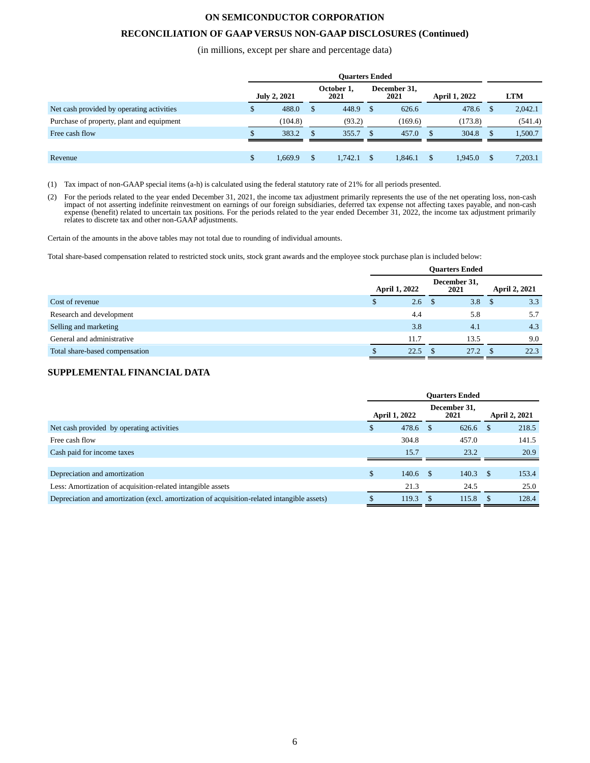### **RECONCILIATION OF GAAP VERSUS NON-GAAP DISCLOSURES (Continued)**

(in millions, except per share and percentage data)

| <b>Ouarters Ended</b> |         |                     |         |                                              |         |     |         |            |         |
|-----------------------|---------|---------------------|---------|----------------------------------------------|---------|-----|---------|------------|---------|
|                       |         |                     | 2021    | December 31,<br><b>April 1, 2022</b><br>2021 |         |     |         | <b>LTM</b> |         |
| \$                    | 488.0   | S                   | 448.9   |                                              | 626.6   |     | 478.6   |            | 2,042.1 |
|                       | (104.8) |                     | (93.2)  |                                              | (169.6) |     | (173.8) |            | (541.4) |
|                       | 383.2   |                     | 355.7   |                                              | 457.0   |     | 304.8   |            | 1,500.7 |
|                       |         |                     |         |                                              |         |     |         |            |         |
| <sup>\$</sup>         | 1,669.9 | \$                  | 1,742.1 |                                              | 1,846.1 | \$. | 1,945.0 | \$.        | 7,203.1 |
|                       |         | <b>July 2, 2021</b> |         | October 1,                                   |         |     |         |            |         |

(1) Tax impact of non-GAAP special items (a-h) is calculated using the federal statutory rate of 21% for all periods presented.

(2) For the periods related to the year ended December 31, 2021, the income tax adjustment primarily represents the use of the net operating loss, non-cash impact of not asserting indefinite reinvestment on earnings of our expense (benefit) related to uncertain tax positions. For the periods related to the year ended December 31, 2022, the income tax adjustment primarily relates to discrete tax and other non-GAAP adjustments.

Certain of the amounts in the above tables may not total due to rounding of individual amounts.

Total share-based compensation related to restricted stock units, stock grant awards and the employee stock purchase plan is included below:

|                                | <b>Ouarters Ended</b> |             |  |                      |               |      |  |  |  |
|--------------------------------|-----------------------|-------------|--|----------------------|---------------|------|--|--|--|
|                                | <b>April 1, 2022</b>  |             |  | December 31,<br>2021 | April 2, 2021 |      |  |  |  |
| Cost of revenue                |                       | $2.6 \quad$ |  | 3.8                  |               | 3.3  |  |  |  |
| Research and development       |                       | 4.4         |  | 5.8                  |               | 5.7  |  |  |  |
| Selling and marketing          |                       | 3.8         |  | 4.1                  |               | 4.3  |  |  |  |
| General and administrative     |                       | 11.7        |  | 13.5                 |               | 9.0  |  |  |  |
| Total share-based compensation |                       | 22.5        |  | 27.2                 |               | 22.3 |  |  |  |

# **SUPPLEMENTAL FINANCIAL DATA**

|                                                                                             | <b>Ouarters Ended</b> |                      |    |                      |              |                      |  |  |
|---------------------------------------------------------------------------------------------|-----------------------|----------------------|----|----------------------|--------------|----------------------|--|--|
|                                                                                             |                       | <b>April 1, 2022</b> |    | December 31,<br>2021 |              | <b>April 2, 2021</b> |  |  |
| Net cash provided by operating activities                                                   |                       | 478.6 \$             |    | 626.6                |              | 218.5                |  |  |
| Free cash flow                                                                              |                       | 304.8                |    | 457.0                |              | 141.5                |  |  |
| Cash paid for income taxes                                                                  |                       | 15.7                 |    | 23.2                 |              | 20.9                 |  |  |
|                                                                                             |                       |                      |    |                      |              |                      |  |  |
| Depreciation and amortization                                                               | \$                    | $140.6$ \$           |    | 140.3                | <sup>S</sup> | 153.4                |  |  |
| Less: Amortization of acquisition-related intangible assets                                 |                       | 21.3                 |    | 24.5                 |              | 25.0                 |  |  |
| Depreciation and amortization (excl. amortization of acquisition-related intangible assets) |                       | 119.3                | -S | 115.8                |              | 128.4                |  |  |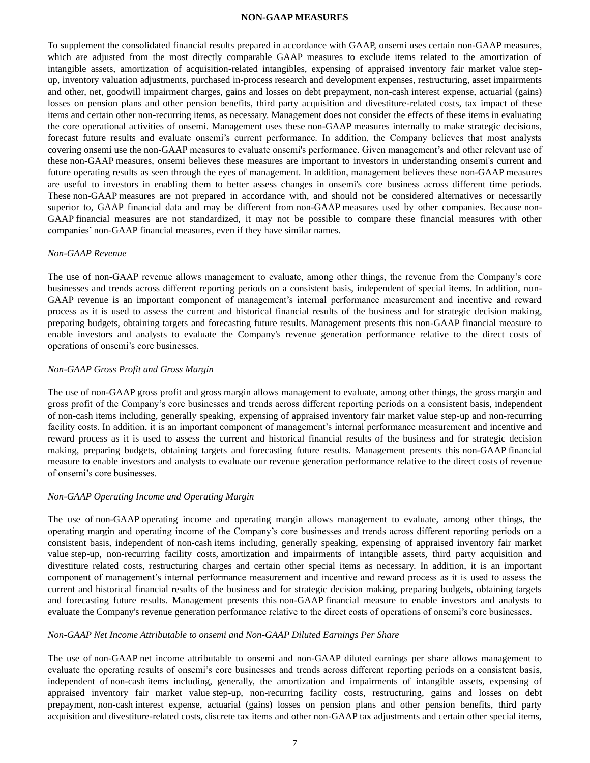#### **NON-GAAP MEASURES**

To supplement the consolidated financial results prepared in accordance with GAAP, onsemi uses certain non-GAAP measures, which are adjusted from the most directly comparable GAAP measures to exclude items related to the amortization of intangible assets, amortization of acquisition-related intangibles, expensing of appraised inventory fair market value stepup, inventory valuation adjustments, purchased in-process research and development expenses, restructuring, asset impairments and other, net, goodwill impairment charges, gains and losses on debt prepayment, non-cash interest expense, actuarial (gains) losses on pension plans and other pension benefits, third party acquisition and divestiture-related costs, tax impact of these items and certain other non-recurring items, as necessary. Management does not consider the effects of these items in evaluating the core operational activities of onsemi. Management uses these non-GAAP measures internally to make strategic decisions, forecast future results and evaluate onsemi's current performance. In addition, the Company believes that most analysts covering onsemi use the non-GAAP measures to evaluate onsemi's performance. Given management's and other relevant use of these non-GAAP measures, onsemi believes these measures are important to investors in understanding onsemi's current and future operating results as seen through the eyes of management. In addition, management believes these non-GAAP measures are useful to investors in enabling them to better assess changes in onsemi's core business across different time periods. These non-GAAP measures are not prepared in accordance with, and should not be considered alternatives or necessarily superior to, GAAP financial data and may be different from non-GAAP measures used by other companies. Because non-GAAP financial measures are not standardized, it may not be possible to compare these financial measures with other companies' non-GAAP financial measures, even if they have similar names.

#### *Non-GAAP Revenue*

The use of non-GAAP revenue allows management to evaluate, among other things, the revenue from the Company's core businesses and trends across different reporting periods on a consistent basis, independent of special items. In addition, non-GAAP revenue is an important component of management's internal performance measurement and incentive and reward process as it is used to assess the current and historical financial results of the business and for strategic decision making, preparing budgets, obtaining targets and forecasting future results. Management presents this non-GAAP financial measure to enable investors and analysts to evaluate the Company's revenue generation performance relative to the direct costs of operations of onsemi's core businesses.

### *Non-GAAP Gross Profit and Gross Margin*

The use of non-GAAP gross profit and gross margin allows management to evaluate, among other things, the gross margin and gross profit of the Company's core businesses and trends across different reporting periods on a consistent basis, independent of non-cash items including, generally speaking, expensing of appraised inventory fair market value step-up and non-recurring facility costs. In addition, it is an important component of management's internal performance measurement and incentive and reward process as it is used to assess the current and historical financial results of the business and for strategic decision making, preparing budgets, obtaining targets and forecasting future results. Management presents this non-GAAP financial measure to enable investors and analysts to evaluate our revenue generation performance relative to the direct costs of revenue of onsemi's core businesses.

### *Non-GAAP Operating Income and Operating Margin*

The use of non-GAAP operating income and operating margin allows management to evaluate, among other things, the operating margin and operating income of the Company's core businesses and trends across different reporting periods on a consistent basis, independent of non-cash items including, generally speaking, expensing of appraised inventory fair market value step-up, non-recurring facility costs, amortization and impairments of intangible assets, third party acquisition and divestiture related costs, restructuring charges and certain other special items as necessary. In addition, it is an important component of management's internal performance measurement and incentive and reward process as it is used to assess the current and historical financial results of the business and for strategic decision making, preparing budgets, obtaining targets and forecasting future results. Management presents this non-GAAP financial measure to enable investors and analysts to evaluate the Company's revenue generation performance relative to the direct costs of operations of onsemi's core businesses.

### *Non-GAAP Net Income Attributable to onsemi and Non-GAAP Diluted Earnings Per Share*

The use of non-GAAP net income attributable to onsemi and non-GAAP diluted earnings per share allows management to evaluate the operating results of onsemi's core businesses and trends across different reporting periods on a consistent basis, independent of non-cash items including, generally, the amortization and impairments of intangible assets, expensing of appraised inventory fair market value step-up, non-recurring facility costs, restructuring, gains and losses on debt prepayment, non-cash interest expense, actuarial (gains) losses on pension plans and other pension benefits, third party acquisition and divestiture-related costs, discrete tax items and other non-GAAP tax adjustments and certain other special items,